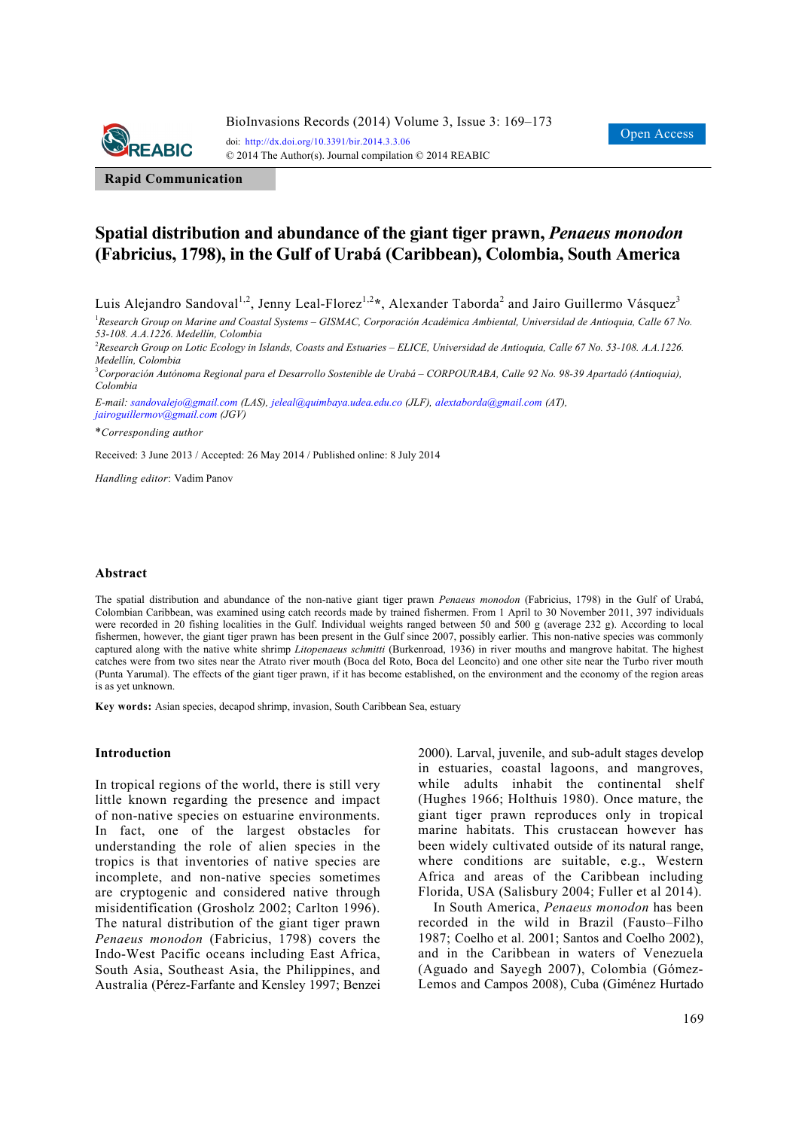

**Rapid Communication**

# **Spatial distribution and abundance of the giant tiger prawn,** *Penaeus monodon*  **(Fabricius, 1798), in the Gulf of Urabá (Caribbean), Colombia, South America**

Luis Alejandro Sandoval<sup>1,2</sup>, Jenny Leal-Florez<sup>1,2</sup>\*, Alexander Taborda<sup>2</sup> and Jairo Guillermo Vásquez<sup>3</sup>

<sup>1</sup> Research Group on Marine and Coastal Systems – GISMAC, Corporación Académica Ambiental, Universidad de Antioquia, Calle 67 No. *53-108. A.A.1226. Medellín, Colombia* 

2 *Research Group on Lotic Ecology in Islands, Coasts and Estuaries – ELICE, Universidad de Antioquia, Calle 67 No. 53-108. A.A.1226. Medellín, Colombia* 

3 *Corporación Autónoma Regional para el Desarrollo Sostenible de Urabá – CORPOURABA, Calle 92 No. 98-39 Apartadó (Antioquia), Colombia* 

*E-mail: sandovalejo@gmail.com (LAS), jeleal@quimbaya.udea.edu.co (JLF), alextaborda@gmail.com (AT), jairoguillermov@gmail.com (JGV)*

\**Corresponding author* 

Received: 3 June 2013 / Accepted: 26 May 2014 / Published online: 8 July 2014

*Handling editor*: Vadim Panov

#### **Abstract**

The spatial distribution and abundance of the non-native giant tiger prawn *Penaeus monodon* (Fabricius, 1798) in the Gulf of Urabá, Colombian Caribbean, was examined using catch records made by trained fishermen. From 1 April to 30 November 2011, 397 individuals were recorded in 20 fishing localities in the Gulf. Individual weights ranged between 50 and 500 g (average 232 g). According to local fishermen, however, the giant tiger prawn has been present in the Gulf since 2007, possibly earlier. This non-native species was commonly captured along with the native white shrimp *Litopenaeus schmitti* (Burkenroad, 1936) in river mouths and mangrove habitat. The highest catches were from two sites near the Atrato river mouth (Boca del Roto, Boca del Leoncito) and one other site near the Turbo river mouth (Punta Yarumal). The effects of the giant tiger prawn, if it has become established, on the environment and the economy of the region areas is as yet unknown.

**Key words:** Asian species, decapod shrimp, invasion, South Caribbean Sea, estuary

### **Introduction**

In tropical regions of the world, there is still very little known regarding the presence and impact of non-native species on estuarine environments. In fact, one of the largest obstacles for understanding the role of alien species in the tropics is that inventories of native species are incomplete, and non-native species sometimes are cryptogenic and considered native through misidentification (Grosholz 2002; Carlton 1996). The natural distribution of the giant tiger prawn *Penaeus monodon* (Fabricius, 1798) covers the Indo-West Pacific oceans including East Africa, South Asia, Southeast Asia, the Philippines, and Australia (Pérez-Farfante and Kensley 1997; Benzei 2000). Larval, juvenile, and sub-adult stages develop in estuaries, coastal lagoons, and mangroves, while adults inhabit the continental shelf (Hughes 1966; Holthuis 1980). Once mature, the giant tiger prawn reproduces only in tropical marine habitats. This crustacean however has been widely cultivated outside of its natural range, where conditions are suitable, e.g., Western Africa and areas of the Caribbean including Florida, USA (Salisbury 2004; Fuller et al 2014).

In South America, *Penaeus monodon* has been recorded in the wild in Brazil (Fausto–Filho 1987; Coelho et al. 2001; Santos and Coelho 2002), and in the Caribbean in waters of Venezuela (Aguado and Sayegh 2007), Colombia (Gómez-Lemos and Campos 2008), Cuba (Giménez Hurtado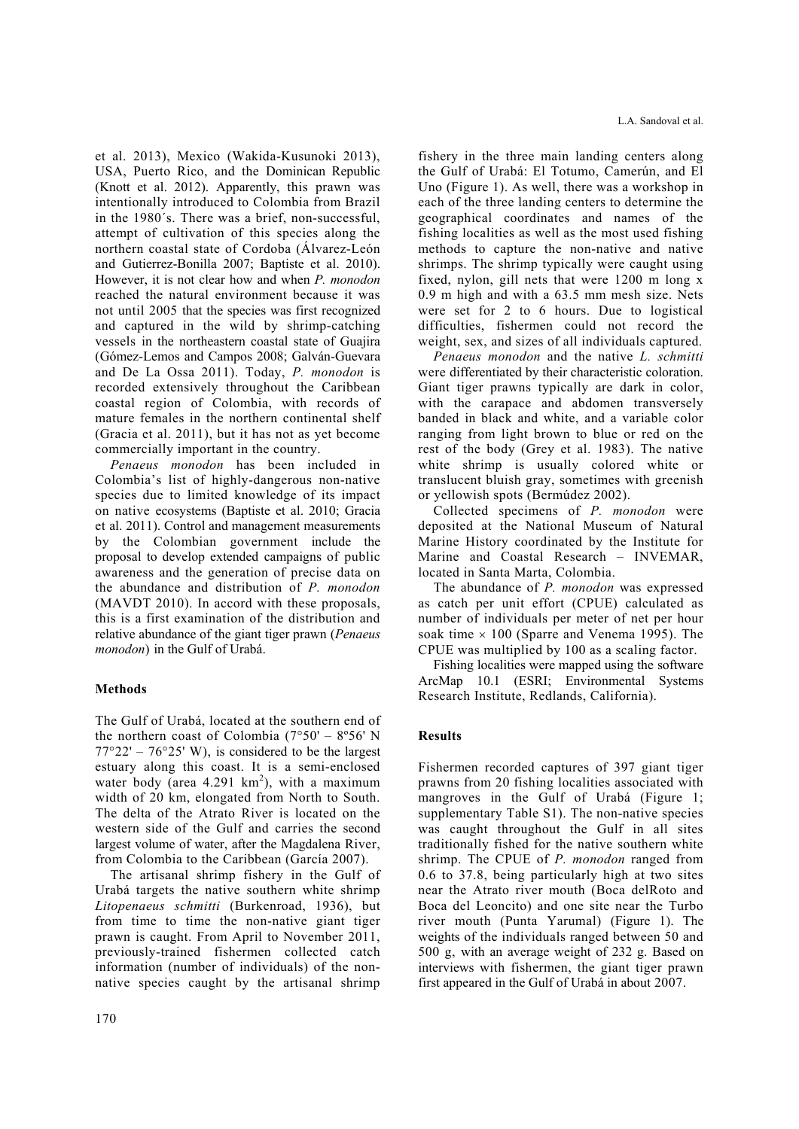et al. 2013), Mexico (Wakida-Kusunoki 2013), USA, Puerto Rico, and the Dominican Republic (Knott et al. 2012). Apparently, this prawn was intentionally introduced to Colombia from Brazil in the 1980´s. There was a brief, non-successful, attempt of cultivation of this species along the northern coastal state of Cordoba (Álvarez-León and Gutierrez-Bonilla 2007; Baptiste et al. 2010). However, it is not clear how and when *P. monodon*  reached the natural environment because it was not until 2005 that the species was first recognized and captured in the wild by shrimp-catching vessels in the northeastern coastal state of Guajira (Gómez-Lemos and Campos 2008; Galván-Guevara and De La Ossa 2011). Today, *P. monodon* is recorded extensively throughout the Caribbean coastal region of Colombia, with records of mature females in the northern continental shelf (Gracia et al. 2011), but it has not as yet become commercially important in the country.

*Penaeus monodon* has been included in Colombia's list of highly-dangerous non-native species due to limited knowledge of its impact on native ecosystems (Baptiste et al. 2010; Gracia et al. 2011). Control and management measurements by the Colombian government include the proposal to develop extended campaigns of public awareness and the generation of precise data on the abundance and distribution of *P. monodon* (MAVDT 2010). In accord with these proposals, this is a first examination of the distribution and relative abundance of the giant tiger prawn (*Penaeus monodon*) in the Gulf of Urabá.

## **Methods**

The Gulf of Urabá, located at the southern end of the northern coast of Colombia  $(7°50' - 8°56' N)$  $77^{\circ}22' - 76^{\circ}25'$  W), is considered to be the largest estuary along this coast. It is a semi-enclosed water body (area  $4.291 \text{ km}^2$ ), with a maximum width of 20 km, elongated from North to South. The delta of the Atrato River is located on the western side of the Gulf and carries the second largest volume of water, after the Magdalena River, from Colombia to the Caribbean (García 2007).

The artisanal shrimp fishery in the Gulf of Urabá targets the native southern white shrimp *Litopenaeus schmitti* (Burkenroad, 1936), but from time to time the non-native giant tiger prawn is caught. From April to November 2011, previously-trained fishermen collected catch information (number of individuals) of the nonnative species caught by the artisanal shrimp fishery in the three main landing centers along the Gulf of Urabá: El Totumo, Camerún, and El Uno (Figure 1). As well, there was a workshop in each of the three landing centers to determine the geographical coordinates and names of the fishing localities as well as the most used fishing methods to capture the non-native and native shrimps. The shrimp typically were caught using fixed, nylon, gill nets that were 1200 m long x 0.9 m high and with a 63.5 mm mesh size. Nets were set for 2 to 6 hours. Due to logistical difficulties, fishermen could not record the weight, sex, and sizes of all individuals captured.

*Penaeus monodon* and the native *L. schmitti*  were differentiated by their characteristic coloration. Giant tiger prawns typically are dark in color, with the carapace and abdomen transversely banded in black and white, and a variable color ranging from light brown to blue or red on the rest of the body (Grey et al. 1983). The native white shrimp is usually colored white or translucent bluish gray, sometimes with greenish or yellowish spots (Bermúdez 2002).

Collected specimens of *P. monodon* were deposited at the National Museum of Natural Marine History coordinated by the Institute for Marine and Coastal Research – INVEMAR, located in Santa Marta, Colombia.

The abundance of *P. monodon* was expressed as catch per unit effort (CPUE) calculated as number of individuals per meter of net per hour soak time  $\times$  100 (Sparre and Venema 1995). The CPUE was multiplied by 100 as a scaling factor.

Fishing localities were mapped using the software ArcMap 10.1 (ESRI; Environmental Systems Research Institute, Redlands, California).

### **Results**

Fishermen recorded captures of 397 giant tiger prawns from 20 fishing localities associated with mangroves in the Gulf of Urabá (Figure 1; supplementary Table S1). The non-native species was caught throughout the Gulf in all sites traditionally fished for the native southern white shrimp. The CPUE of *P. monodon* ranged from 0.6 to 37.8, being particularly high at two sites near the Atrato river mouth (Boca delRoto and Boca del Leoncito) and one site near the Turbo river mouth (Punta Yarumal) (Figure 1). The weights of the individuals ranged between 50 and 500 g, with an average weight of 232 g. Based on interviews with fishermen, the giant tiger prawn first appeared in the Gulf of Urabá in about 2007.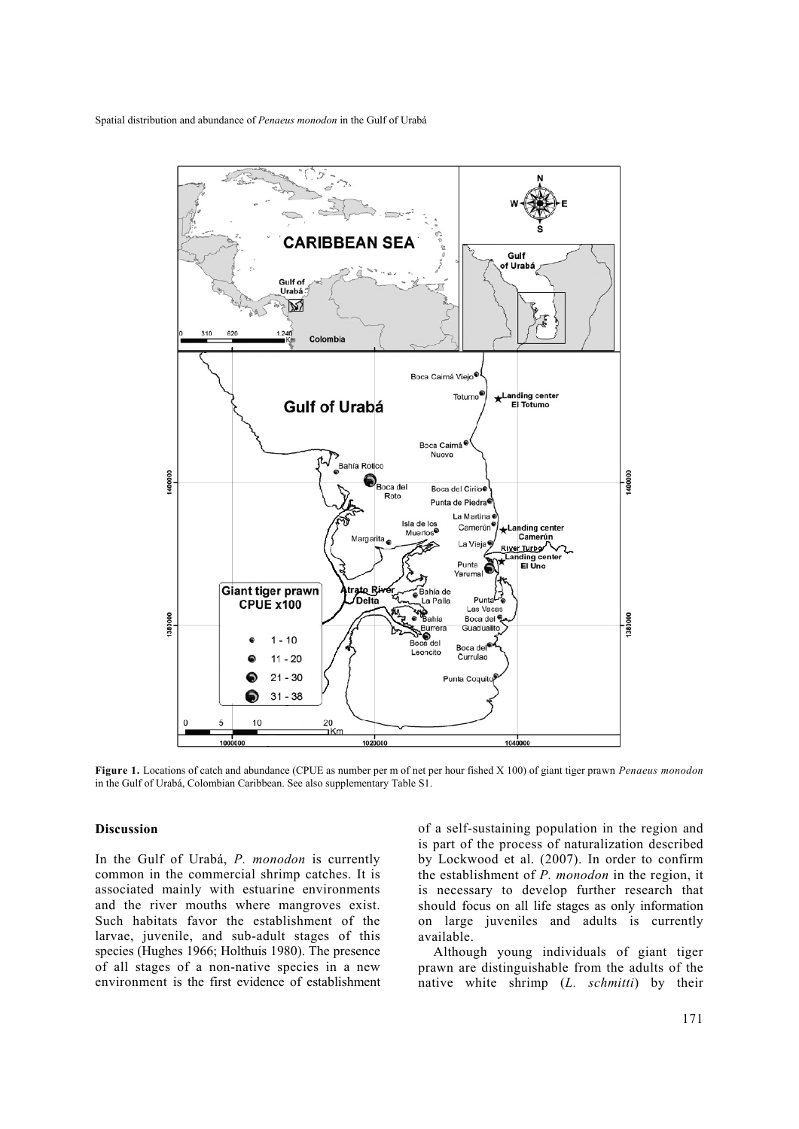

**Figure 1.** Locations of catch and abundance (CPUE as number per m of net per hour fished X 100) of giant tiger prawn *Penaeus monodon*  in the Gulf of Urabá, Colombian Caribbean. See also supplementary Table S1.

#### **Discussion**

In the Gulf of Urabá, *P. monodon* is currently common in the commercial shrimp catches. It is associated mainly with estuarine environments and the river mouths where mangroves exist. Such habitats favor the establishment of the larvae, juvenile, and sub-adult stages of this species (Hughes 1966; Holthuis 1980). The presence of all stages of a non-native species in a new environment is the first evidence of establishment of a self-sustaining population in the region and is part of the process of naturalization described by Lockwood et al. (2007). In order to confirm the establishment of *P. monodon* in the region, it is necessary to develop further research that should focus on all life stages as only information on large juveniles and adults is currently available.

Although young individuals of giant tiger prawn are distinguishable from the adults of the native white shrimp (*L. schmitti*) by their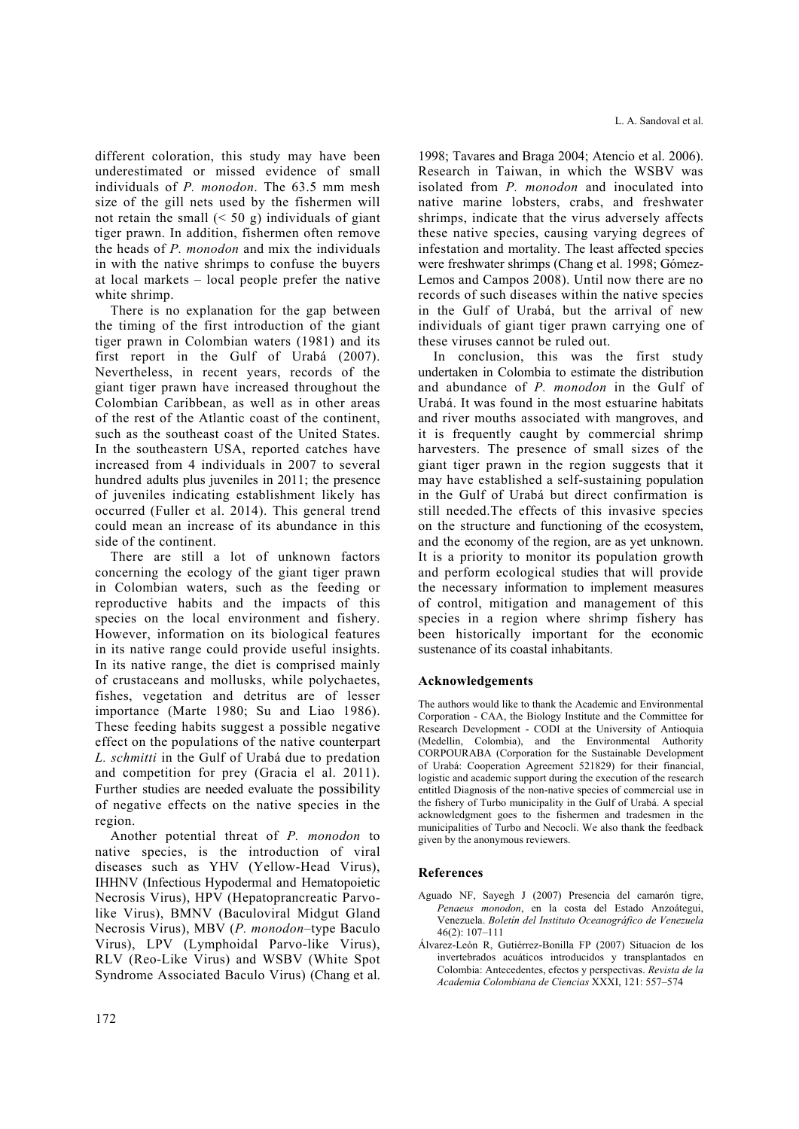different coloration, this study may have been underestimated or missed evidence of small individuals of *P. monodon*. The 63.5 mm mesh size of the gill nets used by the fishermen will not retain the small  $( $50 \text{ g}$ )$  individuals of giant tiger prawn. In addition, fishermen often remove the heads of *P. monodon* and mix the individuals in with the native shrimps to confuse the buyers at local markets – local people prefer the native white shrimp.

There is no explanation for the gap between the timing of the first introduction of the giant tiger prawn in Colombian waters (1981) and its first report in the Gulf of Urabá (2007). Nevertheless, in recent years, records of the giant tiger prawn have increased throughout the Colombian Caribbean, as well as in other areas of the rest of the Atlantic coast of the continent, such as the southeast coast of the United States. In the southeastern USA, reported catches have increased from 4 individuals in 2007 to several hundred adults plus juveniles in 2011; the presence of juveniles indicating establishment likely has occurred (Fuller et al. 2014). This general trend could mean an increase of its abundance in this side of the continent.

There are still a lot of unknown factors concerning the ecology of the giant tiger prawn in Colombian waters, such as the feeding or reproductive habits and the impacts of this species on the local environment and fishery. However, information on its biological features in its native range could provide useful insights. In its native range, the diet is comprised mainly of crustaceans and mollusks, while polychaetes, fishes, vegetation and detritus are of lesser importance (Marte 1980; Su and Liao 1986). These feeding habits suggest a possible negative effect on the populations of the native counterpart *L. schmitti* in the Gulf of Urabá due to predation and competition for prey (Gracia el al. 2011). Further studies are needed evaluate the possibility of negative effects on the native species in the region.

Another potential threat of *P. monodon* to native species, is the introduction of viral diseases such as YHV (Yellow-Head Virus), IHHNV (Infectious Hypodermal and Hematopoietic Necrosis Virus), HPV (Hepatoprancreatic Parvolike Virus), BMNV (Baculoviral Midgut Gland Necrosis Virus), MBV (*P. monodon*–type Baculo Virus), LPV (Lymphoidal Parvo-like Virus), RLV (Reo-Like Virus) and WSBV (White Spot Syndrome Associated Baculo Virus) (Chang et al. 1998; Tavares and Braga 2004; Atencio et al. 2006). Research in Taiwan, in which the WSBV was isolated from *P. monodon* and inoculated into native marine lobsters, crabs, and freshwater shrimps, indicate that the virus adversely affects these native species, causing varying degrees of infestation and mortality. The least affected species were freshwater shrimps (Chang et al. 1998; Gómez-Lemos and Campos 2008). Until now there are no records of such diseases within the native species in the Gulf of Urabá, but the arrival of new individuals of giant tiger prawn carrying one of these viruses cannot be ruled out.

In conclusion, this was the first study undertaken in Colombia to estimate the distribution and abundance of *P. monodon* in the Gulf of Urabá. It was found in the most estuarine habitats and river mouths associated with mangroves, and it is frequently caught by commercial shrimp harvesters. The presence of small sizes of the giant tiger prawn in the region suggests that it may have established a self-sustaining population in the Gulf of Urabá but direct confirmation is still needed.The effects of this invasive species on the structure and functioning of the ecosystem, and the economy of the region, are as yet unknown. It is a priority to monitor its population growth and perform ecological studies that will provide the necessary information to implement measures of control, mitigation and management of this species in a region where shrimp fishery has been historically important for the economic sustenance of its coastal inhabitants.

### **Acknowledgements**

The authors would like to thank the Academic and Environmental Corporation - CAA, the Biology Institute and the Committee for Research Development - CODI at the University of Antioquia (Medellin, Colombia), and the Environmental Authority CORPOURABA (Corporation for the Sustainable Development of Urabá: Cooperation Agreement 521829) for their financial, logistic and academic support during the execution of the research entitled Diagnosis of the non-native species of commercial use in the fishery of Turbo municipality in the Gulf of Urabá. A special acknowledgment goes to the fishermen and tradesmen in the municipalities of Turbo and Necocli. We also thank the feedback given by the anonymous reviewers.

### **References**

- Aguado NF, Sayegh J (2007) Presencia del camarón tigre, *Penaeus monodon*, en la costa del Estado Anzoátegui, Venezuela. *Boletín del Instituto Oceanográfico de Venezuela* 46(2): 107–111
- Álvarez-León R, Gutiérrez-Bonilla FP (2007) Situacion de los invertebrados acuáticos introducidos y transplantados en Colombia: Antecedentes, efectos y perspectivas. *Revista de la Academia Colombiana de Ciencias* XXXI, 121: 557–574